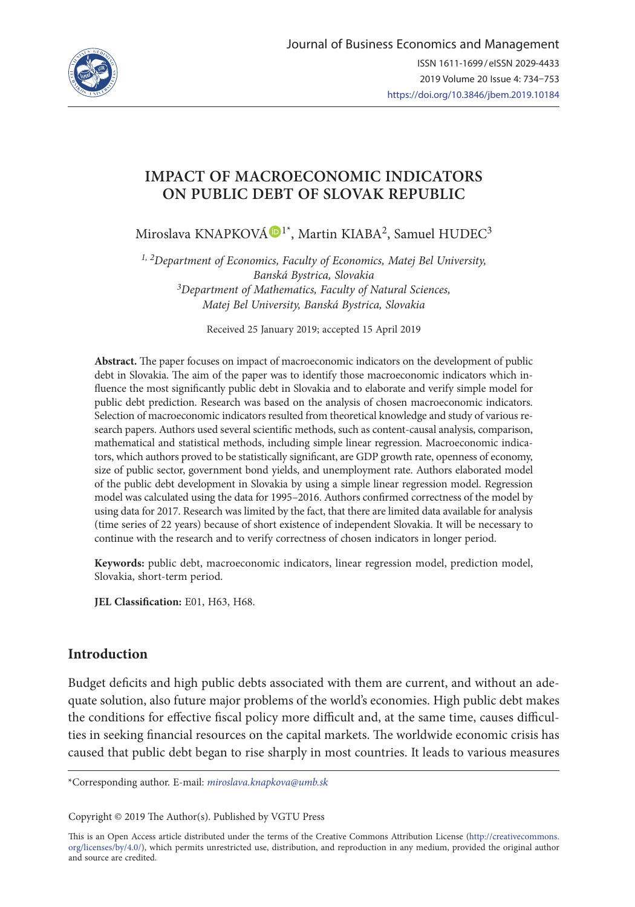

# **IMPACT OF MACROECONOMIC INDICATORS ON PUBLIC DEBT OF SLOVAK REPUBLIC**

Miroslava KNAPKOV[Á](https://orcid.org/0000-0002-1602-5398) D<sup>1\*</sup>, Martin KIABA<sup>2</sup>, Samuel HUDEC<sup>3</sup>

*1, 2Department of Economics, Faculty of Economics, Matej Bel University, Banská Bystrica, Slovakia 3Department of Mathematics, Faculty of Natural Sciences, Matej Bel University, Banská Bystrica, Slovakia* 

Received 25 January 2019; accepted 15 April 2019

**Abstract.** The paper focuses on impact of macroeconomic indicators on the development of public debt in Slovakia. The aim of the paper was to identify those macroeconomic indicators which influence the most significantly public debt in Slovakia and to elaborate and verify simple model for public debt prediction. Research was based on the analysis of chosen macroeconomic indicators. Selection of macroeconomic indicators resulted from theoretical knowledge and study of various research papers. Authors used several scientific methods, such as content-causal analysis, comparison, mathematical and statistical methods, including simple linear regression. Macroeconomic indicators, which authors proved to be statistically significant, are GDP growth rate, openness of economy, size of public sector, government bond yields, and unemployment rate. Authors elaborated model of the public debt development in Slovakia by using a simple linear regression model. Regression model was calculated using the data for 1995–2016. Authors confirmed correctness of the model by using data for 2017. Research was limited by the fact, that there are limited data available for analysis (time series of 22 years) because of short existence of independent Slovakia. It will be necessary to continue with the research and to verify correctness of chosen indicators in longer period.

**Keywords:** public debt, macroeconomic indicators, linear regression model, prediction model, Slovakia, short-term period.

**JEL Classification:** E01, H63, H68.

# **Introduction**

Budget deficits and high public debts associated with them are current, and without an adequate solution, also future major problems of the world's economies. High public debt makes the conditions for effective fiscal policy more difficult and, at the same time, causes difficulties in seeking financial resources on the capital markets. The worldwide economic crisis has caused that public debt began to rise sharply in most countries. It leads to various measures

\*Corresponding author. E-mail: *miroslava.knapkova@umb.sk*

Copyright © 2019 The Author(s). Published by VGTU Press

This is an Open Access article distributed under the terms of the Creative Commons Attribution License (http://creativecommons. org/licenses/by/4.0/), which permits unrestricted use, distribution, and reproduction in any medium, provided the original author and source are credited.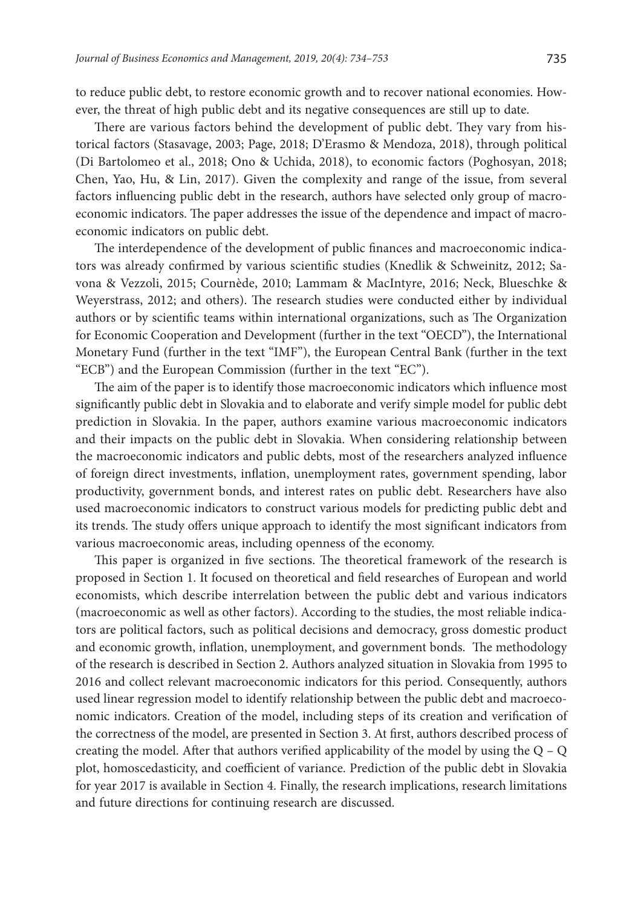to reduce public debt, to restore economic growth and to recover national economies. However, the threat of high public debt and its negative consequences are still up to date.

There are various factors behind the development of public debt. They vary from historical factors (Stasavage, 2003; Page, 2018; D'Erasmo & Mendoza, 2018), through political (Di Bartolomeo et al., 2018; Ono & Uchida, 2018), to economic factors (Poghosyan, 2018; Chen, Yao, Hu, & Lin, 2017). Given the complexity and range of the issue, from several factors influencing public debt in the research, authors have selected only group of macroeconomic indicators. The paper addresses the issue of the dependence and impact of macroeconomic indicators on public debt.

The interdependence of the development of public finances and macroeconomic indicators was already confirmed by various scientific studies (Knedlik & Schweinitz, 2012; Savona & Vezzoli, 2015; Cournède, 2010; Lammam & MacIntyre, 2016; Neck, Blueschke & Weyerstrass, 2012; and others). The research studies were conducted either by individual authors or by scientific teams within international organizations, such as The Organization for Economic Cooperation and Development (further in the text "OECD"), the International Monetary Fund (further in the text "IMF"), the European Central Bank (further in the text "ECB") and the European Commission (further in the text "EC").

The aim of the paper is to identify those macroeconomic indicators which influence most significantly public debt in Slovakia and to elaborate and verify simple model for public debt prediction in Slovakia. In the paper, authors examine various macroeconomic indicators and their impacts on the public debt in Slovakia. When considering relationship between the macroeconomic indicators and public debts, most of the researchers analyzed influence of foreign direct investments, inflation, unemployment rates, government spending, labor productivity, government bonds, and interest rates on public debt. Researchers have also used macroeconomic indicators to construct various models for predicting public debt and its trends. The study offers unique approach to identify the most significant indicators from various macroeconomic areas, including openness of the economy.

This paper is organized in five sections. The theoretical framework of the research is proposed in Section 1. It focused on theoretical and field researches of European and world economists, which describe interrelation between the public debt and various indicators (macroeconomic as well as other factors). According to the studies, the most reliable indicators are political factors, such as political decisions and democracy, gross domestic product and economic growth, inflation, unemployment, and government bonds. The methodology of the research is described in Section 2. Authors analyzed situation in Slovakia from 1995 to 2016 and collect relevant macroeconomic indicators for this period. Consequently, authors used linear regression model to identify relationship between the public debt and macroeconomic indicators. Creation of the model, including steps of its creation and verification of the correctness of the model, are presented in Section 3. At first, authors described process of creating the model. After that authors verified applicability of the model by using the  $Q - Q$ plot, homoscedasticity, and coefficient of variance. Prediction of the public debt in Slovakia for year 2017 is available in Section 4. Finally, the research implications, research limitations and future directions for continuing research are discussed.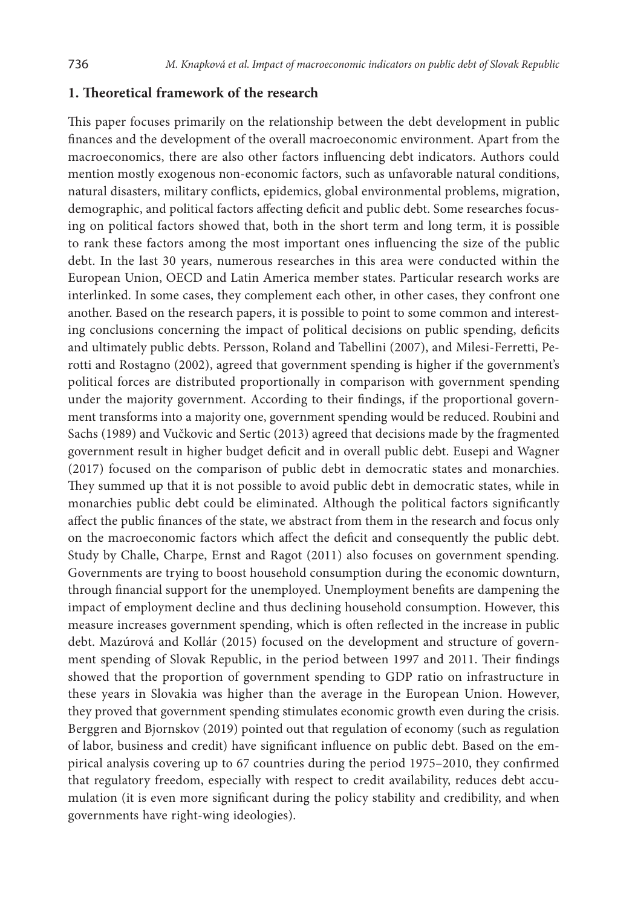#### **1. Theoretical framework of the research**

This paper focuses primarily on the relationship between the debt development in public finances and the development of the overall macroeconomic environment. Apart from the macroeconomics, there are also other factors influencing debt indicators. Authors could mention mostly exogenous non-economic factors, such as unfavorable natural conditions, natural disasters, military conflicts, epidemics, global environmental problems, migration, demographic, and political factors affecting deficit and public debt. Some researches focusing on political factors showed that, both in the short term and long term, it is possible to rank these factors among the most important ones influencing the size of the public debt. In the last 30 years, numerous researches in this area were conducted within the European Union, OECD and Latin America member states. Particular research works are interlinked. In some cases, they complement each other, in other cases, they confront one another. Based on the research papers, it is possible to point to some common and interesting conclusions concerning the impact of political decisions on public spending, deficits and ultimately public debts. Persson, Roland and Tabellini (2007), and Milesi-Ferretti, Perotti and Rostagno (2002), agreed that government spending is higher if the government's political forces are distributed proportionally in comparison with government spending under the majority government. According to their findings, if the proportional government transforms into a majority one, government spending would be reduced. Roubini and Sachs (1989) and Vučkovic and Sertic (2013) agreed that decisions made by the fragmented government result in higher budget deficit and in overall public debt. Eusepi and Wagner (2017) focused on the comparison of public debt in democratic states and monarchies. They summed up that it is not possible to avoid public debt in democratic states, while in monarchies public debt could be eliminated. Although the political factors significantly affect the public finances of the state, we abstract from them in the research and focus only on the macroeconomic factors which affect the deficit and consequently the public debt. Study by Challe, Charpe, Ernst and Ragot (2011) also focuses on government spending. Governments are trying to boost household consumption during the economic downturn, through financial support for the unemployed. Unemployment benefits are dampening the impact of employment decline and thus declining household consumption. However, this measure increases government spending, which is often reflected in the increase in public debt. Mazúrová and Kollár (2015) focused on the development and structure of government spending of Slovak Republic, in the period between 1997 and 2011. Their findings showed that the proportion of government spending to GDP ratio on infrastructure in these years in Slovakia was higher than the average in the European Union. However, they proved that government spending stimulates economic growth even during the crisis. Berggren and Bjornskov (2019) pointed out that regulation of economy (such as regulation of labor, business and credit) have significant influence on public debt. Based on the empirical analysis covering up to 67 countries during the period 1975–2010, they confirmed that regulatory freedom, especially with respect to credit availability, reduces debt accumulation (it is even more significant during the policy stability and credibility, and when governments have right-wing ideologies).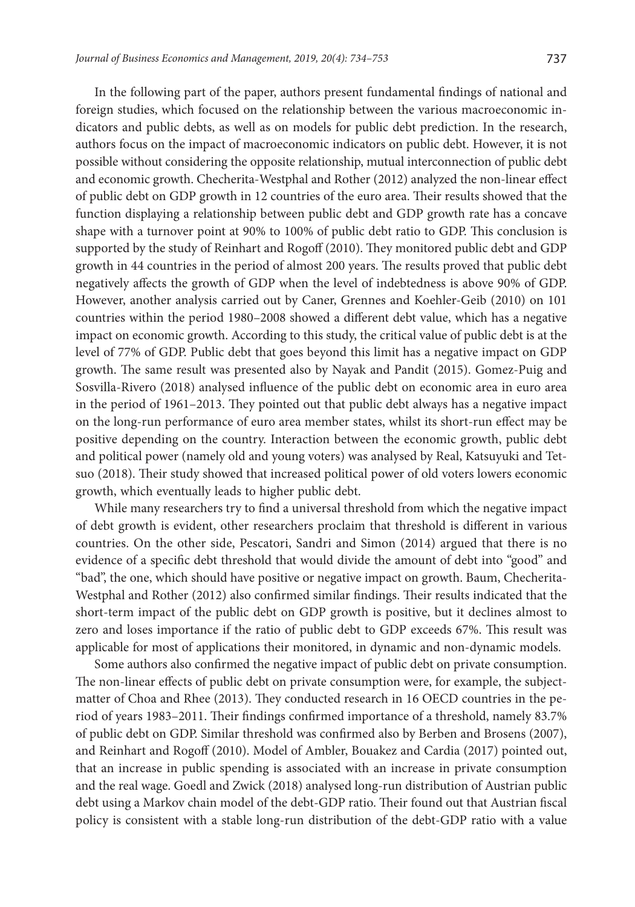In the following part of the paper, authors present fundamental findings of national and foreign studies, which focused on the relationship between the various macroeconomic indicators and public debts, as well as on models for public debt prediction. In the research, authors focus on the impact of macroeconomic indicators on public debt. However, it is not possible without considering the opposite relationship, mutual interconnection of public debt and economic growth. Checherita-Westphal and Rother (2012) analyzed the non-linear effect of public debt on GDP growth in 12 countries of the euro area. Their results showed that the function displaying a relationship between public debt and GDP growth rate has a concave shape with a turnover point at 90% to 100% of public debt ratio to GDP. This conclusion is supported by the study of Reinhart and Rogoff (2010). They monitored public debt and GDP growth in 44 countries in the period of almost 200 years. The results proved that public debt negatively affects the growth of GDP when the level of indebtedness is above 90% of GDP. However, another analysis carried out by Caner, Grennes and Koehler-Geib (2010) on 101 countries within the period 1980–2008 showed a different debt value, which has a negative impact on economic growth. According to this study, the critical value of public debt is at the level of 77% of GDP. Public debt that goes beyond this limit has a negative impact on GDP growth. The same result was presented also by Nayak and Pandit (2015). Gomez-Puig and Sosvilla-Rivero (2018) analysed influence of the public debt on economic area in euro area in the period of 1961–2013. They pointed out that public debt always has a negative impact on the long-run performance of euro area member states, whilst its short-run effect may be positive depending on the country. Interaction between the economic growth, public debt and political power (namely old and young voters) was analysed by Real, Katsuyuki and Tetsuo (2018). Their study showed that increased political power of old voters lowers economic growth, which eventually leads to higher public debt.

While many researchers try to find a universal threshold from which the negative impact of debt growth is evident, other researchers proclaim that threshold is different in various countries. On the other side, Pescatori, Sandri and Simon (2014) argued that there is no evidence of a specific debt threshold that would divide the amount of debt into "good" and "bad", the one, which should have positive or negative impact on growth. Baum, Checherita-Westphal and Rother (2012) also confirmed similar findings. Their results indicated that the short-term impact of the public debt on GDP growth is positive, but it declines almost to zero and loses importance if the ratio of public debt to GDP exceeds 67%. This result was applicable for most of applications their monitored, in dynamic and non-dynamic models.

Some authors also confirmed the negative impact of public debt on private consumption. The non-linear effects of public debt on private consumption were, for example, the subjectmatter of Choa and Rhee (2013). They conducted research in 16 OECD countries in the period of years 1983–2011. Their findings confirmed importance of a threshold, namely 83.7% of public debt on GDP. Similar threshold was confirmed also by Berben and Brosens (2007), and Reinhart and Rogoff (2010). Model of Ambler, Bouakez and Cardia (2017) pointed out, that an increase in public spending is associated with an increase in private consumption and the real wage. Goedl and Zwick (2018) analysed long-run distribution of Austrian public debt using a Markov chain model of the debt-GDP ratio. Their found out that Austrian fiscal policy is consistent with a stable long-run distribution of the debt-GDP ratio with a value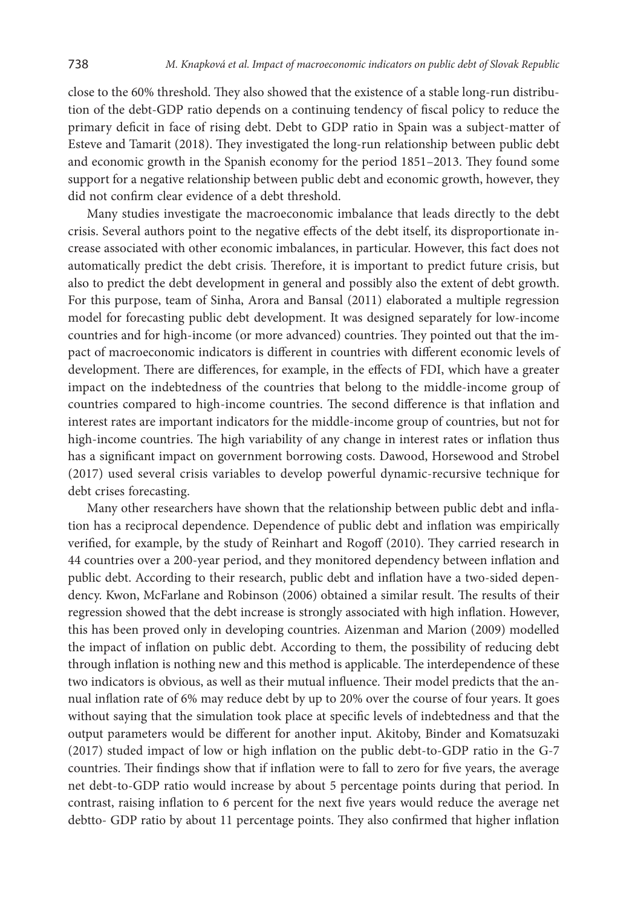close to the 60% threshold. They also showed that the existence of a stable long-run distribution of the debt-GDP ratio depends on a continuing tendency of fiscal policy to reduce the primary deficit in face of rising debt. Debt to GDP ratio in Spain was a subject-matter of Esteve and Tamarit (2018). They investigated the long-run relationship between public debt and economic growth in the Spanish economy for the period 1851–2013. They found some support for a negative relationship between public debt and economic growth, however, they did not confirm clear evidence of a debt threshold.

Many studies investigate the macroeconomic imbalance that leads directly to the debt crisis. Several authors point to the negative effects of the debt itself, its disproportionate increase associated with other economic imbalances, in particular. However, this fact does not automatically predict the debt crisis. Therefore, it is important to predict future crisis, but also to predict the debt development in general and possibly also the extent of debt growth. For this purpose, team of Sinha, Arora and Bansal (2011) elaborated a multiple regression model for forecasting public debt development. It was designed separately for low-income countries and for high-income (or more advanced) countries. They pointed out that the impact of macroeconomic indicators is different in countries with different economic levels of development. There are differences, for example, in the effects of FDI, which have a greater impact on the indebtedness of the countries that belong to the middle-income group of countries compared to high-income countries. The second difference is that inflation and interest rates are important indicators for the middle-income group of countries, but not for high-income countries. The high variability of any change in interest rates or inflation thus has a significant impact on government borrowing costs. Dawood, Horsewood and Strobel (2017) used several crisis variables to develop powerful dynamic-recursive technique for debt crises forecasting.

Many other researchers have shown that the relationship between public debt and inflation has a reciprocal dependence. Dependence of public debt and inflation was empirically verified, for example, by the study of Reinhart and Rogoff (2010). They carried research in 44 countries over a 200-year period, and they monitored dependency between inflation and public debt. According to their research, public debt and inflation have a two-sided dependency. Kwon, McFarlane and Robinson (2006) obtained a similar result. The results of their regression showed that the debt increase is strongly associated with high inflation. However, this has been proved only in developing countries. Aizenman and Marion (2009) modelled the impact of inflation on public debt. According to them, the possibility of reducing debt through inflation is nothing new and this method is applicable. The interdependence of these two indicators is obvious, as well as their mutual influence. Their model predicts that the annual inflation rate of 6% may reduce debt by up to 20% over the course of four years. It goes without saying that the simulation took place at specific levels of indebtedness and that the output parameters would be different for another input. Akitoby, Binder and Komatsuzaki (2017) studed impact of low or high inflation on the public debt-to-GDP ratio in the G-7 countries. Their findings show that if inflation were to fall to zero for five years, the average net debt-to-GDP ratio would increase by about 5 percentage points during that period. In contrast, raising inflation to 6 percent for the next five years would reduce the average net debtto- GDP ratio by about 11 percentage points. They also confirmed that higher inflation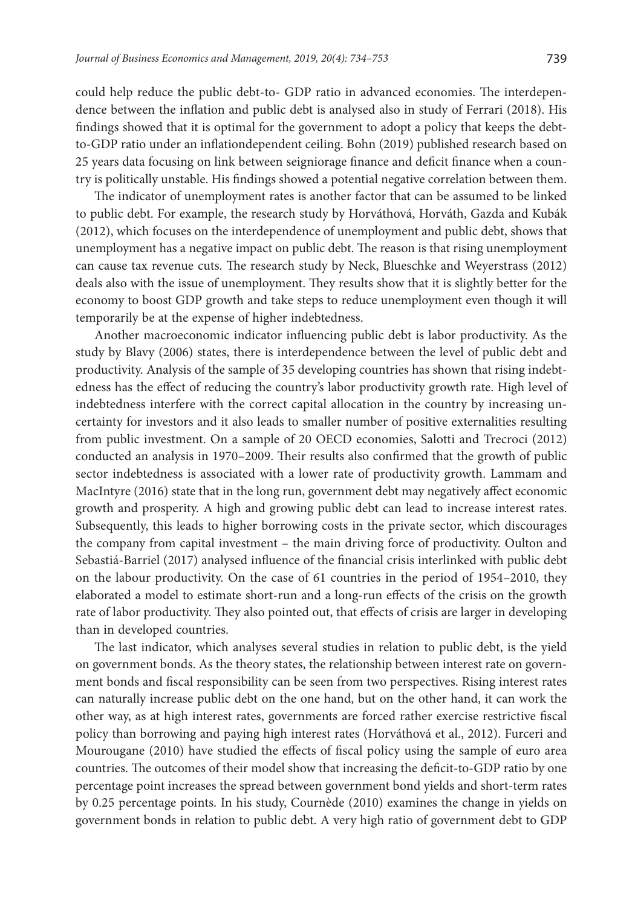could help reduce the public debt-to- GDP ratio in advanced economies. The interdependence between the inflation and public debt is analysed also in study of Ferrari (2018). His findings showed that it is optimal for the government to adopt a policy that keeps the debtto-GDP ratio under an inflationdependent ceiling. Bohn (2019) published research based on 25 years data focusing on link between seigniorage finance and deficit finance when a country is politically unstable. His findings showed a potential negative correlation between them.

The indicator of unemployment rates is another factor that can be assumed to be linked to public debt. For example, the research study by Horváthová, Horváth, Gazda and Kubák (2012), which focuses on the interdependence of unemployment and public debt, shows that unemployment has a negative impact on public debt. The reason is that rising unemployment can cause tax revenue cuts. The research study by Neck, Blueschke and Weyerstrass (2012) deals also with the issue of unemployment. They results show that it is slightly better for the economy to boost GDP growth and take steps to reduce unemployment even though it will temporarily be at the expense of higher indebtedness.

Another macroeconomic indicator influencing public debt is labor productivity. As the study by Blavy (2006) states, there is interdependence between the level of public debt and productivity. Analysis of the sample of 35 developing countries has shown that rising indebtedness has the effect of reducing the country's labor productivity growth rate. High level of indebtedness interfere with the correct capital allocation in the country by increasing uncertainty for investors and it also leads to smaller number of positive externalities resulting from public investment. On a sample of 20 OECD economies, Salotti and Trecroci (2012) conducted an analysis in 1970–2009. Their results also confirmed that the growth of public sector indebtedness is associated with a lower rate of productivity growth. Lammam and MacIntyre (2016) state that in the long run, government debt may negatively affect economic growth and prosperity. A high and growing public debt can lead to increase interest rates. Subsequently, this leads to higher borrowing costs in the private sector, which discourages the company from capital investment – the main driving force of productivity. Oulton and Sebastiá-Barriel (2017) analysed influence of the financial crisis interlinked with public debt on the labour productivity. On the case of 61 countries in the period of 1954–2010, they elaborated a model to estimate short-run and a long-run effects of the crisis on the growth rate of labor productivity. They also pointed out, that effects of crisis are larger in developing than in developed countries.

The last indicator, which analyses several studies in relation to public debt, is the yield on government bonds. As the theory states, the relationship between interest rate on government bonds and fiscal responsibility can be seen from two perspectives. Rising interest rates can naturally increase public debt on the one hand, but on the other hand, it can work the other way, as at high interest rates, governments are forced rather exercise restrictive fiscal policy than borrowing and paying high interest rates (Horváthová et al., 2012). Furceri and Mourougane (2010) have studied the effects of fiscal policy using the sample of euro area countries. The outcomes of their model show that increasing the deficit-to-GDP ratio by one percentage point increases the spread between government bond yields and short-term rates by 0.25 percentage points. In his study, Cournède (2010) examines the change in yields on government bonds in relation to public debt. A very high ratio of government debt to GDP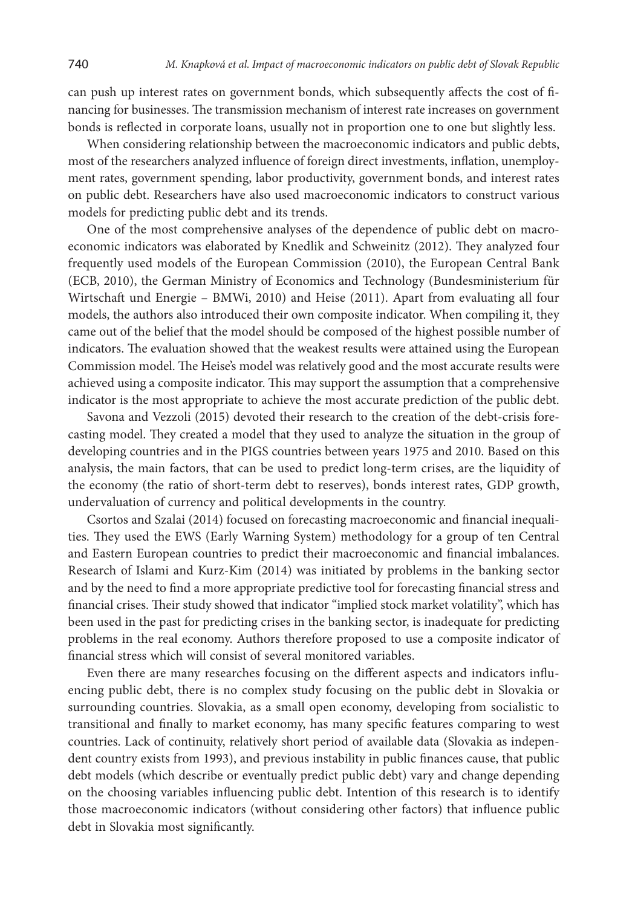can push up interest rates on government bonds, which subsequently affects the cost of financing for businesses. The transmission mechanism of interest rate increases on government bonds is reflected in corporate loans, usually not in proportion one to one but slightly less.

When considering relationship between the macroeconomic indicators and public debts, most of the researchers analyzed influence of foreign direct investments, inflation, unemployment rates, government spending, labor productivity, government bonds, and interest rates on public debt. Researchers have also used macroeconomic indicators to construct various models for predicting public debt and its trends.

One of the most comprehensive analyses of the dependence of public debt on macroeconomic indicators was elaborated by Knedlik and Schweinitz (2012). They analyzed four frequently used models of the European Commission (2010), the European Central Bank (ECB, 2010), the German Ministry of Economics and Technology (Bundesministerium für Wirtschaft und Energie – BMWi, 2010) and Heise (2011). Apart from evaluating all four models, the authors also introduced their own composite indicator. When compiling it, they came out of the belief that the model should be composed of the highest possible number of indicators. The evaluation showed that the weakest results were attained using the European Commission model. The Heise's model was relatively good and the most accurate results were achieved using a composite indicator. This may support the assumption that a comprehensive indicator is the most appropriate to achieve the most accurate prediction of the public debt.

Savona and Vezzoli (2015) devoted their research to the creation of the debt-crisis forecasting model. They created a model that they used to analyze the situation in the group of developing countries and in the PIGS countries between years 1975 and 2010. Based on this analysis, the main factors, that can be used to predict long-term crises, are the liquidity of the economy (the ratio of short-term debt to reserves), bonds interest rates, GDP growth, undervaluation of currency and political developments in the country.

Csortos and Szalai (2014) focused on forecasting macroeconomic and financial inequalities. They used the EWS (Early Warning System) methodology for a group of ten Central and Eastern European countries to predict their macroeconomic and financial imbalances. Research of Islami and Kurz-Kim (2014) was initiated by problems in the banking sector and by the need to find a more appropriate predictive tool for forecasting financial stress and financial crises. Their study showed that indicator "implied stock market volatility", which has been used in the past for predicting crises in the banking sector, is inadequate for predicting problems in the real economy. Authors therefore proposed to use a composite indicator of financial stress which will consist of several monitored variables.

Even there are many researches focusing on the different aspects and indicators influencing public debt, there is no complex study focusing on the public debt in Slovakia or surrounding countries. Slovakia, as a small open economy, developing from socialistic to transitional and finally to market economy, has many specific features comparing to west countries. Lack of continuity, relatively short period of available data (Slovakia as independent country exists from 1993), and previous instability in public finances cause, that public debt models (which describe or eventually predict public debt) vary and change depending on the choosing variables influencing public debt. Intention of this research is to identify those macroeconomic indicators (without considering other factors) that influence public debt in Slovakia most significantly.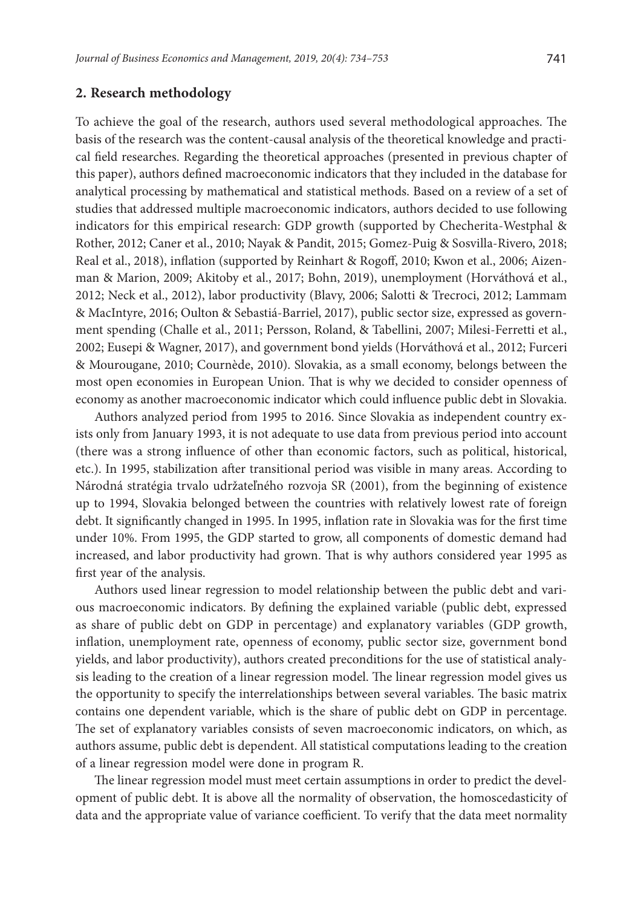#### **2. Research methodology**

To achieve the goal of the research, authors used several methodological approaches. The basis of the research was the content-causal analysis of the theoretical knowledge and practical field researches. Regarding the theoretical approaches (presented in previous chapter of this paper), authors defined macroeconomic indicators that they included in the database for analytical processing by mathematical and statistical methods. Based on a review of a set of studies that addressed multiple macroeconomic indicators, authors decided to use following indicators for this empirical research: GDP growth (supported by Checherita-Westphal & Rother, 2012; Caner et al., 2010; Nayak & Pandit, 2015; Gomez-Puig & Sosvilla-Rivero, 2018; Real et al., 2018), inflation (supported by Reinhart & Rogoff, 2010; Kwon et al., 2006; Aizenman & Marion, 2009; Akitoby et al., 2017; Bohn, 2019), unemployment (Horváthová et al., 2012; Neck et al., 2012), labor productivity (Blavy, 2006; Salotti & Trecroci, 2012; Lammam & MacIntyre, 2016; Oulton & Sebastiá‐Barriel, 2017), public sector size, expressed as government spending (Challe et al., 2011; Persson, Roland, & Tabellini, 2007; Milesi-Ferretti et al., 2002; Eusepi & Wagner, 2017), and government bond yields (Horváthová et al., 2012; Furceri & Mourougane, 2010; Cournède, 2010). Slovakia, as a small economy, belongs between the most open economies in European Union. That is why we decided to consider openness of economy as another macroeconomic indicator which could influence public debt in Slovakia.

Authors analyzed period from 1995 to 2016. Since Slovakia as independent country exists only from January 1993, it is not adequate to use data from previous period into account (there was a strong influence of other than economic factors, such as political, historical, etc.). In 1995, stabilization after transitional period was visible in many areas. According to Národná stratégia trvalo udržateľného rozvoja SR (2001), from the beginning of existence up to 1994, Slovakia belonged between the countries with relatively lowest rate of foreign debt. It significantly changed in 1995. In 1995, inflation rate in Slovakia was for the first time under 10%. From 1995, the GDP started to grow, all components of domestic demand had increased, and labor productivity had grown. That is why authors considered year 1995 as first year of the analysis.

Authors used linear regression to model relationship between the public debt and various macroeconomic indicators. By defining the explained variable (public debt, expressed as share of public debt on GDP in percentage) and explanatory variables (GDP growth, inflation, unemployment rate, openness of economy, public sector size, government bond yields, and labor productivity), authors created preconditions for the use of statistical analysis leading to the creation of a linear regression model. The linear regression model gives us the opportunity to specify the interrelationships between several variables. The basic matrix contains one dependent variable, which is the share of public debt on GDP in percentage. The set of explanatory variables consists of seven macroeconomic indicators, on which, as authors assume, public debt is dependent. All statistical computations leading to the creation of a linear regression model were done in program R.

The linear regression model must meet certain assumptions in order to predict the development of public debt. It is above all the normality of observation, the homoscedasticity of data and the appropriate value of variance coefficient. To verify that the data meet normality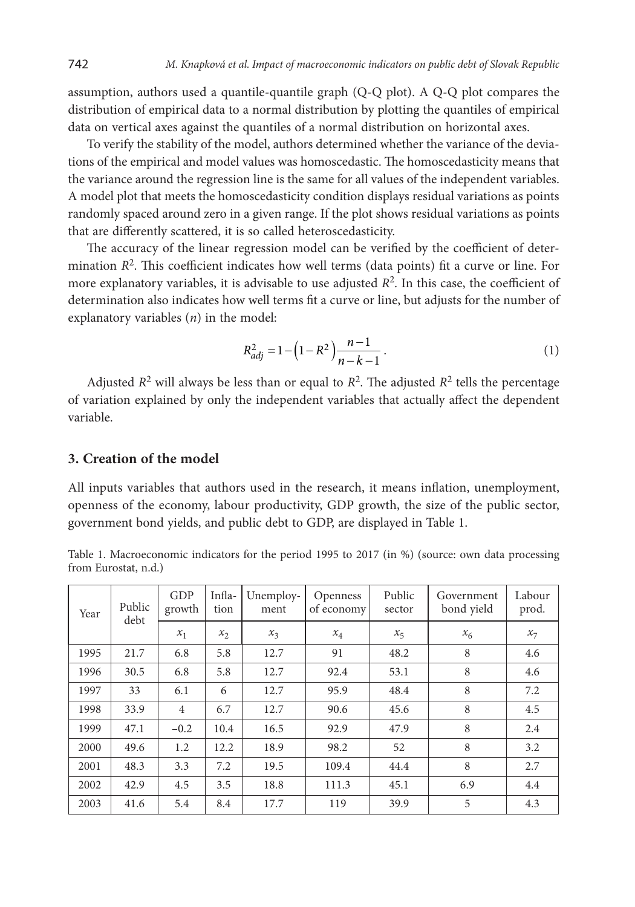assumption, authors used a quantile-quantile graph (Q-Q plot). A Q-Q plot compares the distribution of empirical data to a normal distribution by plotting the quantiles of empirical data on vertical axes against the quantiles of a normal distribution on horizontal axes.

To verify the stability of the model, authors determined whether the variance of the deviations of the empirical and model values was homoscedastic. The homoscedasticity means that the variance around the regression line is the same for all values of the independent variables. A model plot that meets the homoscedasticity condition displays residual variations as points randomly spaced around zero in a given range. If the plot shows residual variations as points that are differently scattered, it is so called heteroscedasticity.

The accuracy of the linear regression model can be verified by the coefficient of determination *R*2. This coefficient indicates how well terms (data points) fit a curve or line. For more explanatory variables, it is advisable to use adjusted *R*2. In this case, the coefficient of determination also indicates how well terms fit a curve or line, but adjusts for the number of explanatory variables (*n*) in the model:

$$
R_{adj}^2 = 1 - \left(1 - R^2\right) \frac{n-1}{n-k-1} \,. \tag{1}
$$

Adjusted  $R^2$  will always be less than or equal to  $R^2$ . The adjusted  $R^2$  tells the percentage of variation explained by only the independent variables that actually affect the dependent variable.

### **3. Creation of the model**

All inputs variables that authors used in the research, it means inflation, unemployment, openness of the economy, labour productivity, GDP growth, the size of the public sector, government bond yields, and public debt to GDP, are displayed in Table 1.

Table 1. Macroeconomic indicators for the period 1995 to 2017 (in %) (source: own data processing from Eurostat, n.d.)

| Year<br>debt | Public | GDP<br>growth  | Infla-<br>tion | Unemploy-<br>ment | Openness<br>of economy | Public<br>sector | Government<br>bond yield | Labour<br>prod. |
|--------------|--------|----------------|----------------|-------------------|------------------------|------------------|--------------------------|-----------------|
|              |        | $x_1$          | $x_2$          | $x_3$             | $x_4$                  | $x_{5}$          | $x_{6}$                  | $x_7$           |
| 1995         | 21.7   | 6.8            | 5.8            | 12.7              | 91                     | 48.2             | 8                        | 4.6             |
| 1996         | 30.5   | 6.8            | 5.8            | 12.7              | 92.4                   | 53.1             | 8                        | 4.6             |
| 1997         | 33     | 6.1            | 6              | 12.7              | 95.9                   | 48.4             | 8                        | 7.2             |
| 1998         | 33.9   | $\overline{4}$ | 6.7            | 12.7              | 90.6                   | 45.6             | 8                        | 4.5             |
| 1999         | 47.1   | $-0.2$         | 10.4           | 16.5              | 92.9                   | 47.9             | 8                        | 2.4             |
| 2000         | 49.6   | 1.2            | 12.2           | 18.9              | 98.2                   | 52               | 8                        | 3.2             |
| 2001         | 48.3   | 3.3            | 7.2            | 19.5              | 109.4                  | 44.4             | 8                        | 2.7             |
| 2002         | 42.9   | 4.5            | 3.5            | 18.8              | 111.3                  | 45.1             | 6.9                      | 4.4             |
| 2003         | 41.6   | 5.4            | 8.4            | 17.7              | 119                    | 39.9             | 5                        | 4.3             |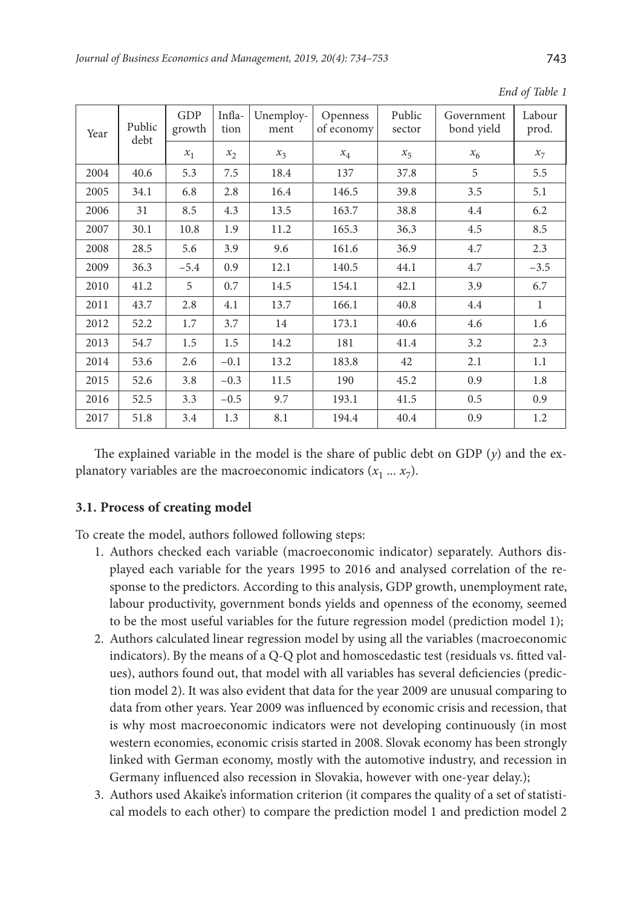| Year | Public<br>debt | <b>GDP</b><br>growth | Infla-<br>tion | Unemploy-<br>ment | Openness<br>of economy | Public<br>sector | Government<br>bond yield | Labour<br>prod. |
|------|----------------|----------------------|----------------|-------------------|------------------------|------------------|--------------------------|-----------------|
|      |                | $x_1$                | $x_2$          | $x_3$             | $x_4$                  | $x_{5}$          | $x_{6}$                  | $x_7$           |
| 2004 | 40.6           | 5.3                  | 7.5            | 18.4              | 137                    | 37.8             | 5                        | 5.5             |
| 2005 | 34.1           | 6.8                  | 2.8            | 16.4              | 146.5                  | 39.8             | 3.5                      | 5.1             |
| 2006 | 31             | 8.5                  | 4.3            | 13.5              | 163.7                  | 38.8             | 4.4                      | 6.2             |
| 2007 | 30.1           | 10.8                 | 1.9            | 11.2              | 165.3                  | 36.3             | 4.5                      | 8.5             |
| 2008 | 28.5           | 5.6                  | 3.9            | 9.6               | 161.6                  | 36.9             | 4.7                      | 2.3             |
| 2009 | 36.3           | $-5.4$               | 0.9            | 12.1              | 140.5                  | 44.1             | 4.7                      | $-3.5$          |
| 2010 | 41.2           | 5                    | 0.7            | 14.5              | 154.1                  | 42.1             | 3.9                      | 6.7             |
| 2011 | 43.7           | 2.8                  | 4.1            | 13.7              | 166.1                  | 40.8             | 4.4                      | 1               |
| 2012 | 52.2           | 1.7                  | 3.7            | 14                | 173.1                  | 40.6             | 4.6                      | 1.6             |
| 2013 | 54.7           | 1.5                  | 1.5            | 14.2              | 181                    | 41.4             | 3.2                      | 2.3             |
| 2014 | 53.6           | 2.6                  | $-0.1$         | 13.2              | 183.8                  | 42               | 2.1                      | 1.1             |
| 2015 | 52.6           | 3.8                  | $-0.3$         | 11.5              | 190                    | 45.2             | 0.9                      | 1.8             |
| 2016 | 52.5           | 3.3                  | $-0.5$         | 9.7               | 193.1                  | 41.5             | 0.5                      | 0.9             |
| 2017 | 51.8           | 3.4                  | 1.3            | 8.1               | 194.4                  | 40.4             | 0.9                      | 1.2             |

*End of Table 1* 

The explained variable in the model is the share of public debt on GDP  $(y)$  and the explanatory variables are the macroeconomic indicators  $(x_1 \ldots x_7)$ .

#### **3.1. Process of creating model**

To create the model, authors followed following steps:

- 1. Authors checked each variable (macroeconomic indicator) separately. Authors displayed each variable for the years 1995 to 2016 and analysed correlation of the response to the predictors. According to this analysis, GDP growth, unemployment rate, labour productivity, government bonds yields and openness of the economy, seemed to be the most useful variables for the future regression model (prediction model 1);
- 2. Authors calculated linear regression model by using all the variables (macroeconomic indicators). By the means of a Q-Q plot and homoscedastic test (residuals vs. fitted values), authors found out, that model with all variables has several deficiencies (prediction model 2). It was also evident that data for the year 2009 are unusual comparing to data from other years. Year 2009 was influenced by economic crisis and recession, that is why most macroeconomic indicators were not developing continuously (in most western economies, economic crisis started in 2008. Slovak economy has been strongly linked with German economy, mostly with the automotive industry, and recession in Germany influenced also recession in Slovakia, however with one-year delay.);
- 3. Authors used Akaike's information criterion (it compares the quality of a set of statistical models to each other) to compare the prediction model 1 and prediction model 2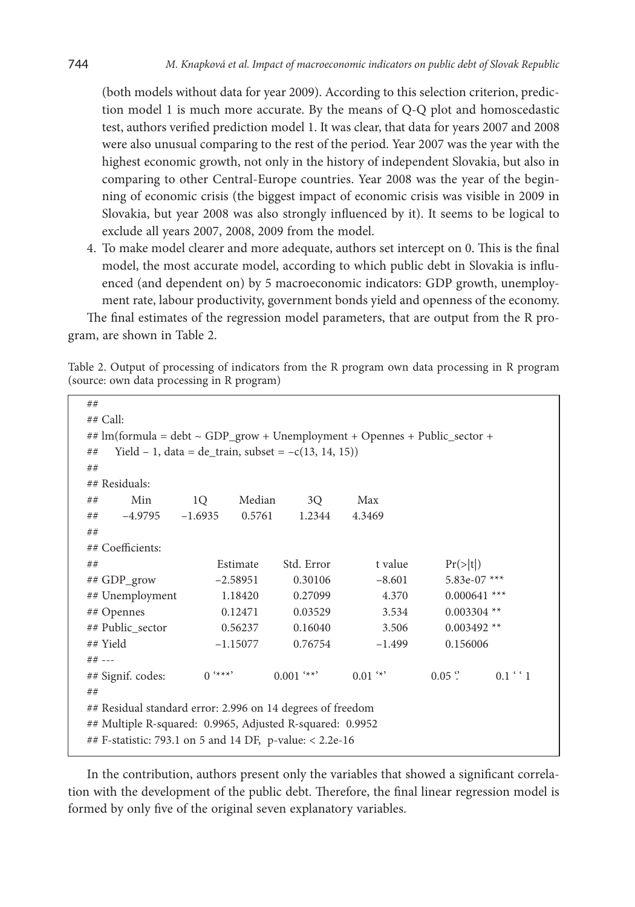(both models without data for year 2009). According to this selection criterion, prediction model 1 is much more accurate. By the means of Q-Q plot and homoscedastic test, authors verified prediction model 1. It was clear, that data for years 2007 and 2008 were also unusual comparing to the rest of the period. Year 2007 was the year with the highest economic growth, not only in the history of independent Slovakia, but also in comparing to other Central-Europe countries. Year 2008 was the year of the beginning of economic crisis (the biggest impact of economic crisis was visible in 2009 in Slovakia, but year 2008 was also strongly influenced by it). It seems to be logical to exclude all years 2007, 2008, 2009 from the model.

4. To make model clearer and more adequate, authors set intercept on 0. This is the final model, the most accurate model, according to which public debt in Slovakia is influenced (and dependent on) by 5 macroeconomic indicators: GDP growth, unemployment rate, labour productivity, government bonds yield and openness of the economy.

The final estimates of the regression model parameters, that are output from the R program, are shown in Table 2.

Table 2. Output of processing of indicators from the R program own data processing in R program (source: own data processing in R program)

| ##                                                                              |           |            |                                                         |            |                  |             |
|---------------------------------------------------------------------------------|-----------|------------|---------------------------------------------------------|------------|------------------|-------------|
| $##$ Call:                                                                      |           |            |                                                         |            |                  |             |
| ## lm(formula = debt $\sim$ GDP_grow + Unemployment + Opennes + Public_sector + |           |            |                                                         |            |                  |             |
| ##                                                                              |           |            |                                                         |            |                  |             |
|                                                                                 |           |            | Yield - 1, data = de_train, subset = $-c(13, 14, 15)$ ) |            |                  |             |
| ##                                                                              |           |            |                                                         |            |                  |             |
| ## Residuals:                                                                   |           |            |                                                         |            |                  |             |
| Min<br>##                                                                       | 1Q        | Median     | 3O                                                      | Max        |                  |             |
| $-4.9795$<br>##                                                                 | $-1.6935$ | 0.5761     | 1.2344                                                  | 4.3469     |                  |             |
| ##                                                                              |           |            |                                                         |            |                  |             |
| ## Coefficients:                                                                |           |            |                                                         |            |                  |             |
| ##                                                                              |           | Estimate   | Std. Error                                              | t value    | Pr(> t )         |             |
| ## GDP_grow                                                                     |           | $-2.58951$ | 0.30106                                                 | $-8.601$   | 5.83e-07 ***     |             |
| ## Unemployment                                                                 |           | 1.18420    | 0.27099                                                 | 4.370      | $0.000641$ ***   |             |
| ## Opennes                                                                      |           | 0.12471    | 0.03529                                                 | 3.534      | $0.003304$ **    |             |
| ## Public sector<br>0.56237<br>0.16040<br>3.506<br>$0.003492$ **                |           |            |                                                         |            |                  |             |
| ## Yield<br>0.156006<br>$-1.15077$<br>0.76754<br>$-1.499$                       |           |            |                                                         |            |                  |             |
| ## ---                                                                          |           |            |                                                         |            |                  |             |
| ## Signif. codes:                                                               | $0$ '***' |            | $0.001$ '**'                                            | $0.01$ $*$ | $0.05$ $\degree$ | $0.1$ ' $1$ |
| ##                                                                              |           |            |                                                         |            |                  |             |
| ## Residual standard error: 2.996 on 14 degrees of freedom                      |           |            |                                                         |            |                  |             |
| ## Multiple R-squared: 0.9965, Adjusted R-squared: 0.9952                       |           |            |                                                         |            |                  |             |
|                                                                                 |           |            |                                                         |            |                  |             |
| ## F-statistic: 793.1 on 5 and 14 DF, p-value: < 2.2e-16                        |           |            |                                                         |            |                  |             |

In the contribution, authors present only the variables that showed a significant correlation with the development of the public debt. Therefore, the final linear regression model is formed by only five of the original seven explanatory variables.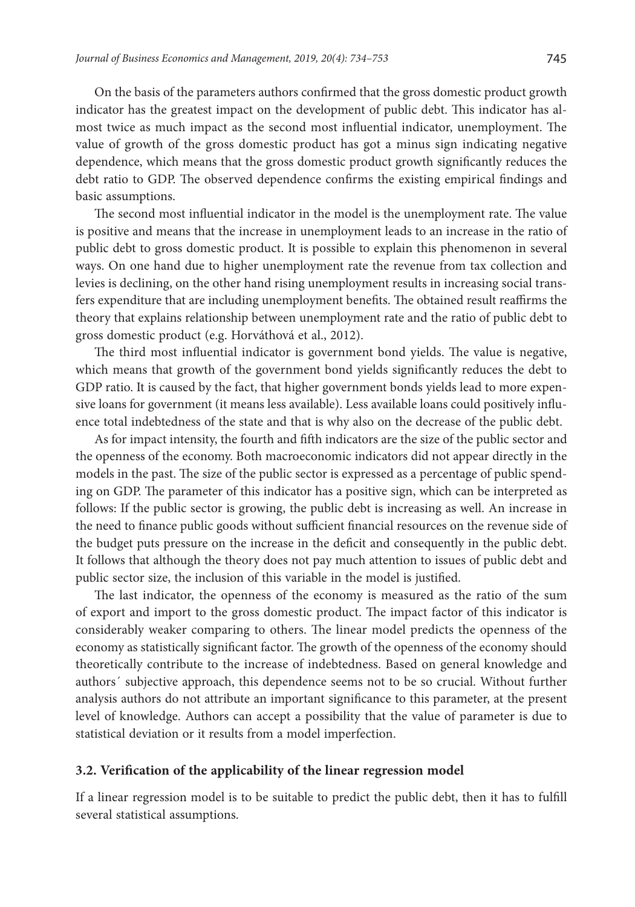On the basis of the parameters authors confirmed that the gross domestic product growth indicator has the greatest impact on the development of public debt. This indicator has almost twice as much impact as the second most influential indicator, unemployment. The value of growth of the gross domestic product has got a minus sign indicating negative dependence, which means that the gross domestic product growth significantly reduces the debt ratio to GDP. The observed dependence confirms the existing empirical findings and basic assumptions.

The second most influential indicator in the model is the unemployment rate. The value is positive and means that the increase in unemployment leads to an increase in the ratio of public debt to gross domestic product. It is possible to explain this phenomenon in several ways. On one hand due to higher unemployment rate the revenue from tax collection and levies is declining, on the other hand rising unemployment results in increasing social transfers expenditure that are including unemployment benefits. The obtained result reaffirms the theory that explains relationship between unemployment rate and the ratio of public debt to gross domestic product (e.g. Horváthová et al., 2012).

The third most influential indicator is government bond yields. The value is negative, which means that growth of the government bond yields significantly reduces the debt to GDP ratio. It is caused by the fact, that higher government bonds yields lead to more expensive loans for government (it means less available). Less available loans could positively influence total indebtedness of the state and that is why also on the decrease of the public debt.

As for impact intensity, the fourth and fifth indicators are the size of the public sector and the openness of the economy. Both macroeconomic indicators did not appear directly in the models in the past. The size of the public sector is expressed as a percentage of public spending on GDP. The parameter of this indicator has a positive sign, which can be interpreted as follows: If the public sector is growing, the public debt is increasing as well. An increase in the need to finance public goods without sufficient financial resources on the revenue side of the budget puts pressure on the increase in the deficit and consequently in the public debt. It follows that although the theory does not pay much attention to issues of public debt and public sector size, the inclusion of this variable in the model is justified.

The last indicator, the openness of the economy is measured as the ratio of the sum of export and import to the gross domestic product. The impact factor of this indicator is considerably weaker comparing to others. The linear model predicts the openness of the economy as statistically significant factor. The growth of the openness of the economy should theoretically contribute to the increase of indebtedness. Based on general knowledge and authors´ subjective approach, this dependence seems not to be so crucial. Without further analysis authors do not attribute an important significance to this parameter, at the present level of knowledge. Authors can accept a possibility that the value of parameter is due to statistical deviation or it results from a model imperfection.

#### **3.2. Verification of the applicability of the linear regression model**

If a linear regression model is to be suitable to predict the public debt, then it has to fulfill several statistical assumptions.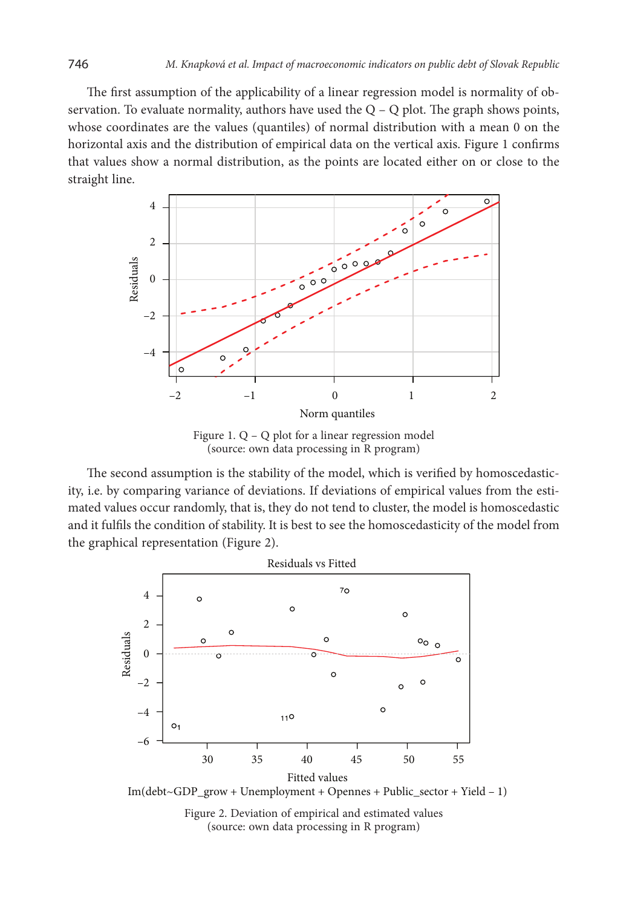The first assumption of the applicability of a linear regression model is normality of observation. To evaluate normality, authors have used the  $Q - Q$  plot. The graph shows points, whose coordinates are the values (quantiles) of normal distribution with a mean 0 on the horizontal axis and the distribution of empirical data on the vertical axis. Figure 1 confirms that values show a normal distribution, as the points are located either on or close to the straight line.



Figure 1. Q – Q plot for a linear regression model (source: own data processing in R program)

The second assumption is the stability of the model, which is verified by homoscedasticity, i.e. by comparing variance of deviations. If deviations of empirical values from the estimated values occur randomly, that is, they do not tend to cluster, the model is homoscedastic and it fulfils the condition of stability. It is best to see the homoscedasticity of the model from the graphical representation (Figure 2).



Figure 2. Deviation of empirical and estimated values (source: own data processing in R program)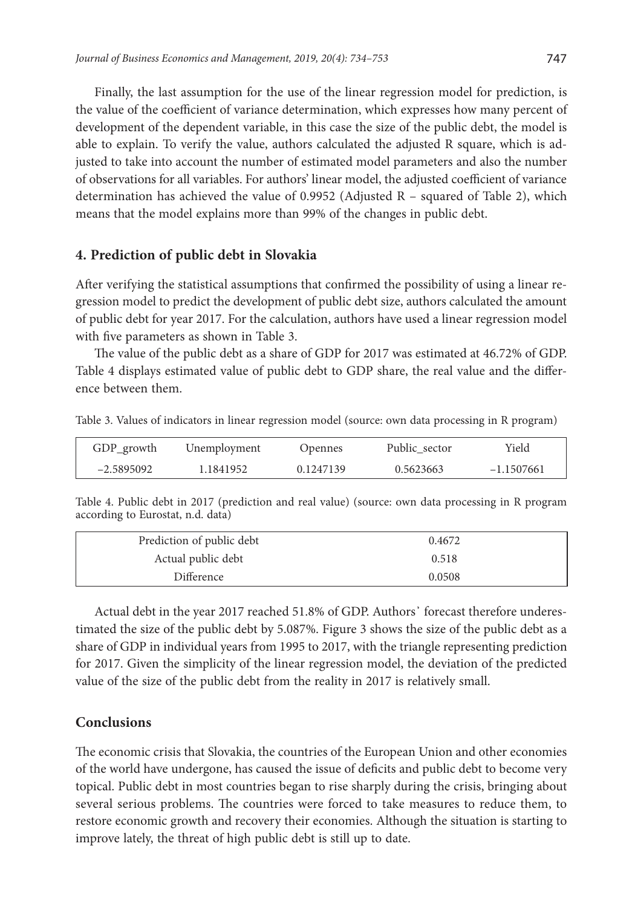Finally, the last assumption for the use of the linear regression model for prediction, is the value of the coefficient of variance determination, which expresses how many percent of development of the dependent variable, in this case the size of the public debt, the model is able to explain. To verify the value, authors calculated the adjusted R square, which is adjusted to take into account the number of estimated model parameters and also the number of observations for all variables. For authors' linear model, the adjusted coefficient of variance determination has achieved the value of 0.9952 (Adjusted R – squared of Table 2), which means that the model explains more than 99% of the changes in public debt.

#### **4. Prediction of public debt in Slovakia**

After verifying the statistical assumptions that confirmed the possibility of using a linear regression model to predict the development of public debt size, authors calculated the amount of public debt for year 2017. For the calculation, authors have used a linear regression model with five parameters as shown in Table 3.

The value of the public debt as a share of GDP for 2017 was estimated at 46.72% of GDP. Table 4 displays estimated value of public debt to GDP share, the real value and the difference between them.

Table 3. Values of indicators in linear regression model (source: own data processing in R program)

| GDP_growth   | Unemployment | Opennes   | Public sector | Yield        |
|--------------|--------------|-----------|---------------|--------------|
| $-2.5895092$ | 1.1841952    | 0.1247139 | 0.5623663     | $-1.1507661$ |

Table 4. Public debt in 2017 (prediction and real value) (source: own data processing in R program according to Eurostat, n.d. data)

| Prediction of public debt | 0.4672 |
|---------------------------|--------|
| Actual public debt        | 0.518  |
| Difference                | 0.0508 |

Actual debt in the year 2017 reached 51.8% of GDP. Authors' forecast therefore underestimated the size of the public debt by 5.087%. Figure 3 shows the size of the public debt as a share of GDP in individual years from 1995 to 2017, with the triangle representing prediction for 2017. Given the simplicity of the linear regression model, the deviation of the predicted value of the size of the public debt from the reality in 2017 is relatively small.

#### **Conclusions**

The economic crisis that Slovakia, the countries of the European Union and other economies of the world have undergone, has caused the issue of deficits and public debt to become very topical. Public debt in most countries began to rise sharply during the crisis, bringing about several serious problems. The countries were forced to take measures to reduce them, to restore economic growth and recovery their economies. Although the situation is starting to improve lately, the threat of high public debt is still up to date.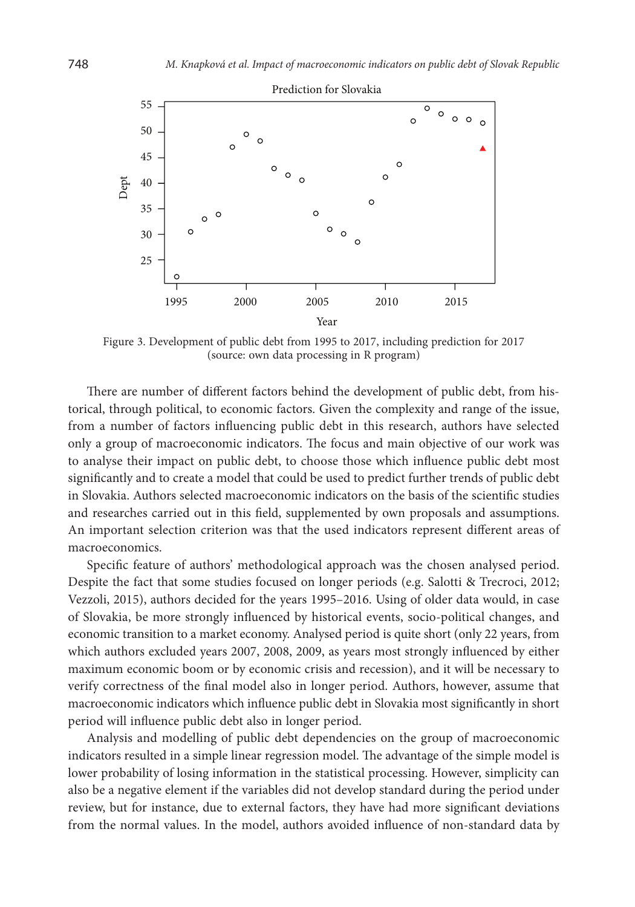

Figure 3. Development of public debt from 1995 to 2017, including prediction for 2017 (source: own data processing in R program)

There are number of different factors behind the development of public debt, from historical, through political, to economic factors. Given the complexity and range of the issue, from a number of factors influencing public debt in this research, authors have selected only a group of macroeconomic indicators. The focus and main objective of our work was to analyse their impact on public debt, to choose those which influence public debt most significantly and to create a model that could be used to predict further trends of public debt in Slovakia. Authors selected macroeconomic indicators on the basis of the scientific studies and researches carried out in this field, supplemented by own proposals and assumptions. An important selection criterion was that the used indicators represent different areas of macroeconomics.

Specific feature of authors' methodological approach was the chosen analysed period. Despite the fact that some studies focused on longer periods (e.g. Salotti & Trecroci, 2012; Vezzoli, 2015), authors decided for the years 1995–2016. Using of older data would, in case of Slovakia, be more strongly influenced by historical events, socio-political changes, and economic transition to a market economy. Analysed period is quite short (only 22 years, from which authors excluded years 2007, 2008, 2009, as years most strongly influenced by either maximum economic boom or by economic crisis and recession), and it will be necessary to verify correctness of the final model also in longer period. Authors, however, assume that macroeconomic indicators which influence public debt in Slovakia most significantly in short period will influence public debt also in longer period.

Analysis and modelling of public debt dependencies on the group of macroeconomic indicators resulted in a simple linear regression model. The advantage of the simple model is lower probability of losing information in the statistical processing. However, simplicity can also be a negative element if the variables did not develop standard during the period under review, but for instance, due to external factors, they have had more significant deviations from the normal values. In the model, authors avoided influence of non-standard data by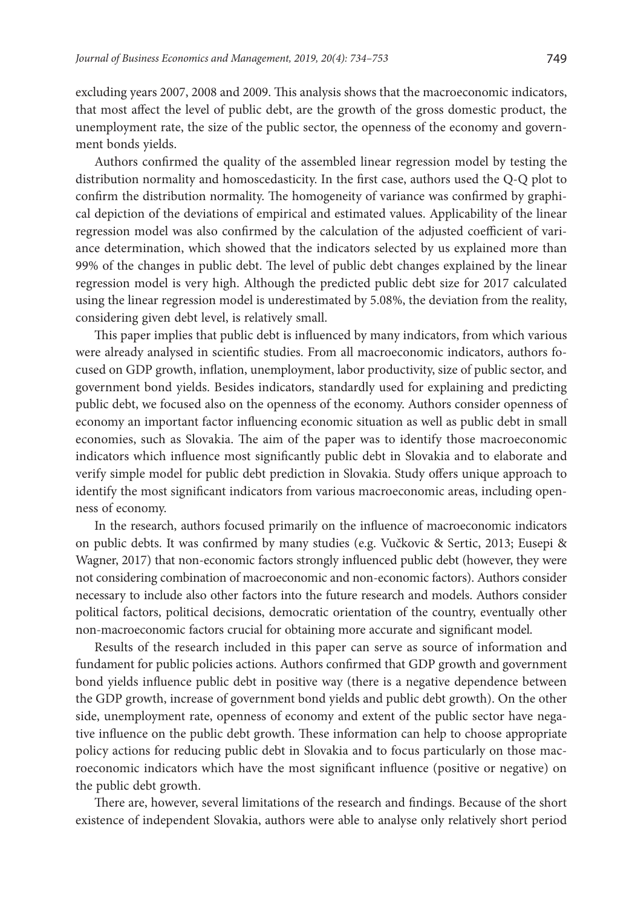excluding years 2007, 2008 and 2009. This analysis shows that the macroeconomic indicators, that most affect the level of public debt, are the growth of the gross domestic product, the unemployment rate, the size of the public sector, the openness of the economy and government bonds yields.

Authors confirmed the quality of the assembled linear regression model by testing the distribution normality and homoscedasticity. In the first case, authors used the Q-Q plot to confirm the distribution normality. The homogeneity of variance was confirmed by graphical depiction of the deviations of empirical and estimated values. Applicability of the linear regression model was also confirmed by the calculation of the adjusted coefficient of variance determination, which showed that the indicators selected by us explained more than 99% of the changes in public debt. The level of public debt changes explained by the linear regression model is very high. Although the predicted public debt size for 2017 calculated using the linear regression model is underestimated by 5.08%, the deviation from the reality, considering given debt level, is relatively small.

This paper implies that public debt is influenced by many indicators, from which various were already analysed in scientific studies. From all macroeconomic indicators, authors focused on GDP growth, inflation, unemployment, labor productivity, size of public sector, and government bond yields. Besides indicators, standardly used for explaining and predicting public debt, we focused also on the openness of the economy. Authors consider openness of economy an important factor influencing economic situation as well as public debt in small economies, such as Slovakia. The aim of the paper was to identify those macroeconomic indicators which influence most significantly public debt in Slovakia and to elaborate and verify simple model for public debt prediction in Slovakia. Study offers unique approach to identify the most significant indicators from various macroeconomic areas, including openness of economy.

In the research, authors focused primarily on the influence of macroeconomic indicators on public debts. It was confirmed by many studies (e.g. Vučkovic & Sertic, 2013; Eusepi & Wagner, 2017) that non-economic factors strongly influenced public debt (however, they were not considering combination of macroeconomic and non-economic factors). Authors consider necessary to include also other factors into the future research and models. Authors consider political factors, political decisions, democratic orientation of the country, eventually other non-macroeconomic factors crucial for obtaining more accurate and significant model.

Results of the research included in this paper can serve as source of information and fundament for public policies actions. Authors confirmed that GDP growth and government bond yields influence public debt in positive way (there is a negative dependence between the GDP growth, increase of government bond yields and public debt growth). On the other side, unemployment rate, openness of economy and extent of the public sector have negative influence on the public debt growth. These information can help to choose appropriate policy actions for reducing public debt in Slovakia and to focus particularly on those macroeconomic indicators which have the most significant influence (positive or negative) on the public debt growth.

There are, however, several limitations of the research and findings. Because of the short existence of independent Slovakia, authors were able to analyse only relatively short period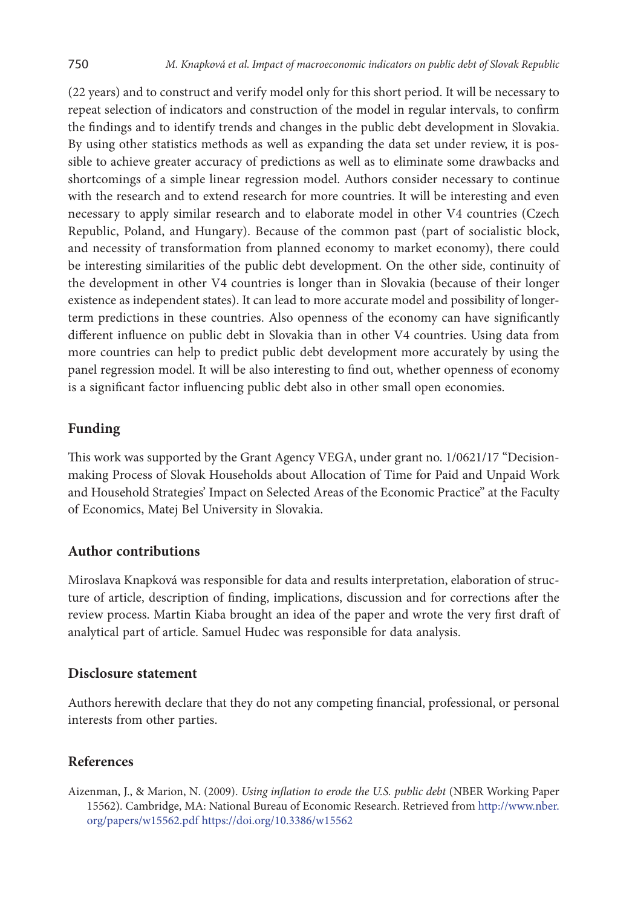(22 years) and to construct and verify model only for this short period. It will be necessary to repeat selection of indicators and construction of the model in regular intervals, to confirm the findings and to identify trends and changes in the public debt development in Slovakia. By using other statistics methods as well as expanding the data set under review, it is possible to achieve greater accuracy of predictions as well as to eliminate some drawbacks and shortcomings of a simple linear regression model. Authors consider necessary to continue with the research and to extend research for more countries. It will be interesting and even necessary to apply similar research and to elaborate model in other V4 countries (Czech Republic, Poland, and Hungary). Because of the common past (part of socialistic block, and necessity of transformation from planned economy to market economy), there could be interesting similarities of the public debt development. On the other side, continuity of the development in other V4 countries is longer than in Slovakia (because of their longer existence as independent states). It can lead to more accurate model and possibility of longerterm predictions in these countries. Also openness of the economy can have significantly different influence on public debt in Slovakia than in other V4 countries. Using data from more countries can help to predict public debt development more accurately by using the panel regression model. It will be also interesting to find out, whether openness of economy is a significant factor influencing public debt also in other small open economies.

### **Funding**

This work was supported by the Grant Agency VEGA, under grant no. 1/0621/17 "Decisionmaking Process of Slovak Households about Allocation of Time for Paid and Unpaid Work and Household Strategies' Impact on Selected Areas of the Economic Practice" at the Faculty of Economics, Matej Bel University in Slovakia.

# **Author contributions**

Miroslava Knapková was responsible for data and results interpretation, elaboration of structure of article, description of finding, implications, discussion and for corrections after the review process. Martin Kiaba brought an idea of the paper and wrote the very first draft of analytical part of article. Samuel Hudec was responsible for data analysis.

#### **Disclosure statement**

Authors herewith declare that they do not any competing financial, professional, or personal interests from other parties.

#### **References**

Aizenman, J., & Marion, N. (2009). *Using inflation to erode the U.S. public debt* (NBER Working Paper 15562). Cambridge, MA: National Bureau of Economic Research. Retrieved from [http://www.nber.](http://www.nber.org/papers/w15562.pdf) [org/papers/w15562.pdf](http://www.nber.org/papers/w15562.pdf) <https://doi.org/10.3386/w15562>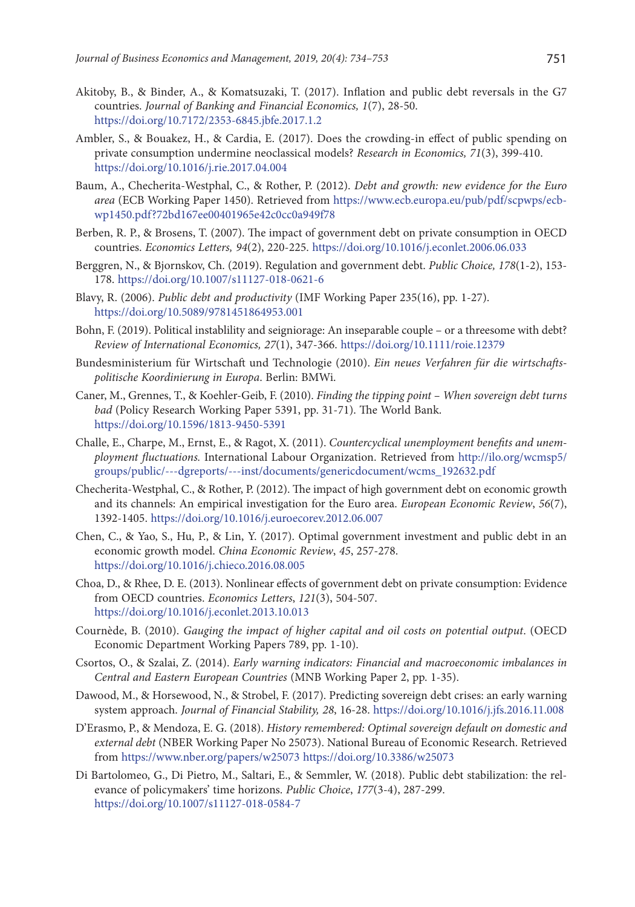- Akitoby, B., & Binder, A., & Komatsuzaki, T. (2017). Inflation and public debt reversals in the G7 countries. *Journal of Banking and Financial Economics, 1*(7), 28-50. <https://doi.org/10.7172/2353-6845.jbfe.2017.1.2>
- Ambler, S., & Bouakez, H., & Cardia, E. (2017). Does the crowding-in effect of public spending on private consumption undermine neoclassical models? *Research in Economics, 71*(3), 399-410. <https://doi.org/10.1016/j.rie.2017.04.004>
- Baum, A., Checherita-Westphal, C., & Rother, P. (2012). *Debt and growth: new evidence for the Euro area* (ECB Working Paper 1450). Retrieved from [https://www.ecb.europa.eu/pub/pdf/scpwps/ecb](https://www.ecb.europa.eu/pub/pdf/scpwps/ecbwp1450.pdf?72bd167ee00401965e42c0cc0a949f78)[wp1450.pdf?72bd167ee00401965e42c0cc0a949f78](https://www.ecb.europa.eu/pub/pdf/scpwps/ecbwp1450.pdf?72bd167ee00401965e42c0cc0a949f78)
- Berben, R. P., & Brosens, T. (2007). The impact of government debt on private consumption in OECD countries. *Economics Letters, 94*(2), 220-225. <https://doi.org/10.1016/j.econlet.2006.06.033>
- Berggren, N., & Bjornskov, Ch. (2019). Regulation and government debt. *Public Choice, 178*(1-2), 153- 178. <https://doi.org/10.1007/s11127-018-0621-6>
- Blavy, R. (2006). *Public debt and productivity* (IMF Working Paper 235(16), pp. 1-27). <https://doi.org/10.5089/9781451864953.001>
- Bohn, F. (2019). Political instablility and seigniorage: An inseparable couple or a threesome with debt? *Review of International Economics, 27*(1), 347-366. <https://doi.org/10.1111/roie.12379>
- Bundesministerium für Wirtschaft und Technologie (2010). *Ein neues Verfahren für die wirtschaftspolitische Koordinierung in Europa*. Berlin: BMWi.
- Caner, M., Grennes, T., & Koehler-Geib, F. (2010). *Finding the tipping point When sovereign debt turns bad* (Policy Research Working Paper 5391, pp. 31-71). The World Bank. <https://doi.org/10.1596/1813-9450-5391>
- Challe, E., Charpe, M., Ernst, E., & Ragot, X. (2011). *Countercyclical unemployment benefits and unemployment fluctuations.* International Labour Organization. Retrieved from [http://ilo.org/wcmsp5/](http://ilo.org/wcmsp5/groups/public/---dgreports/---inst/documents/genericdocument/wcms_192632.pdf) [groups/public/---dgreports/---inst/documents/genericdocument/wcms\\_192632.pdf](http://ilo.org/wcmsp5/groups/public/---dgreports/---inst/documents/genericdocument/wcms_192632.pdf)
- Checherita-Westphal, C., & Rother, P. (2012). The impact of high government debt on economic growth and its channels: An empirical investigation for the Euro area. *European Economic Review*, *56*(7), 1392-1405. <https://doi.org/10.1016/j.euroecorev.2012.06.007>
- Chen, C., & Yao, S., Hu, P., & Lin, Y. (2017). Optimal government investment and public debt in an economic growth model. *China Economic Review*, *45*, 257-278. <https://doi.org/10.1016/j.chieco.2016.08.005>
- Choa, D., & Rhee, D. E. (2013). Nonlinear effects of government debt on private consumption: Evidence from OECD countries. *Economics Letters*, *121*(3), 504-507. <https://doi.org/10.1016/j.econlet.2013.10.013>
- Cournède, B. (2010). *Gauging the impact of higher capital and oil costs on potential output*. (OECD Economic Department Working Papers 789, pp. 1-10).
- Csortos, O., & Szalai, Z. (2014). *Early warning indicators: Financial and macroeconomic imbalances in Central and Eastern European Countries* (MNB Working Paper 2, pp. 1-35).
- Dawood, M., & Horsewood, N., & Strobel, F. (2017). Predicting sovereign debt crises: an early warning system approach. *Journal of Financial Stability, 28*, 16-28. <https://doi.org/10.1016/j.jfs.2016.11.008>
- D'Erasmo, P., & Mendoza, E. G. (2018). *History remembered: Optimal sovereign default on domestic and external debt* (NBER Working Paper No 25073). National Bureau of Economic Research. Retrieved from <https://www.nber.org/papers/w25073> <https://doi.org/10.3386/w25073>
- Di Bartolomeo, G., Di Pietro, M., Saltari, E., & Semmler, W. (2018). Public debt stabilization: the relevance of policymakers' time horizons. *Public Choice*, *177*(3-4), 287-299. <https://doi.org/10.1007/s11127-018-0584-7>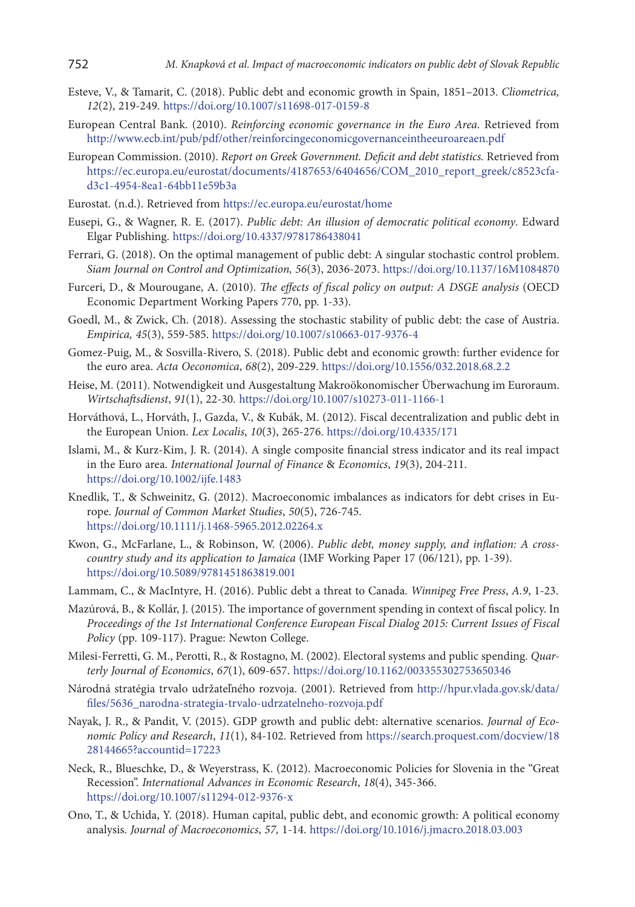- Esteve, V., & Tamarit, C. (2018). Public debt and economic growth in Spain, 1851–2013. *Cliometrica, 12*(2), 219-249.<https://doi.org/10.1007/s11698-017-0159-8>
- European Central Bank. (2010). *Reinforcing economic governance in the Euro Area.* Retrieved from <http://www.ecb.int/pub/pdf/other/reinforcingeconomicgovernanceintheeuroareaen.pdf>
- European Commission. (2010). *Report on Greek Government. Deficit and debt statistics.* Retrieved from [https://ec.europa.eu/eurostat/documents/4187653/6404656/COM\\_2010\\_report\\_greek/c8523cfa](https://ec.europa.eu/eurostat/documents/4187653/6404656/COM_2010_report_greek/c8523cfa-d3c1-4954-8ea1-64bb11e59b3a)[d3c1-4954-8ea1-64bb11e59b3a](https://ec.europa.eu/eurostat/documents/4187653/6404656/COM_2010_report_greek/c8523cfa-d3c1-4954-8ea1-64bb11e59b3a)
- Eurostat. (n.d.). Retrieved from<https://ec.europa.eu/eurostat/home>
- Eusepi, G., & Wagner, R. E. (2017). *Public debt: An illusion of democratic political economy*. Edward Elgar Publishing. <https://doi.org/10.4337/9781786438041>
- Ferrari, G. (2018). On the optimal management of public debt: A singular stochastic control problem. *Siam Journal on Control and Optimization, 56*(3), 2036-2073. <https://doi.org/10.1137/16M1084870>
- Furceri, D., & Mourougane, A. (2010). *The effects of fiscal policy on output: A DSGE analysis* (OECD Economic Department Working Papers 770, pp. 1-33).
- Goedl, M., & Zwick, Ch. (2018). Assessing the stochastic stability of public debt: the case of Austria. *Empirica, 45*(3), 559-585. <https://doi.org/10.1007/s10663-017-9376-4>
- Gomez-Puig, M., & Sosvilla-Rivero, S. (2018). Public debt and economic growth: further evidence for the euro area. *Acta Oeconomica*, *68*(2), 209-229. <https://doi.org/10.1556/032.2018.68.2.2>
- Heise, M. (2011). Notwendigkeit und Ausgestaltung Makroökonomischer Überwachung im Euroraum. *Wirtschaftsdienst*, *91*(1), 22-30. <https://doi.org/10.1007/s10273-011-1166-1>
- Horváthová, L., Horváth, J., Gazda, V., & Kubák, M. (2012). Fiscal decentralization and public debt in the European Union. *Lex Localis*, *10*(3), 265-276. <https://doi.org/10.4335/171>
- Islami, M., & Kurz-Kim, J. R. (2014). A single composite financial stress indicator and its real impact in the Euro area. *International Journal of Finance* & *Economics*, *19*(3), 204-211. <https://doi.org/10.1002/ijfe.1483>
- Knedlik, T., & Schweinitz, G. (2012). Macroeconomic imbalances as indicators for debt crises in Europe. *Journal of Common Market Studies*, *50*(5), 726-745. <https://doi.org/10.1111/j.1468-5965.2012.02264.x>
- Kwon, G., McFarlane, L., & Robinson, W. (2006). *Public debt, money supply, and inflation: A crosscountry study and its application to Jamaica* (IMF Working Paper 17 (06/121), pp. 1-39). <https://doi.org/10.5089/9781451863819.001>
- Lammam, C., & MacIntyre, H. (2016). Public debt a threat to Canada. *Winnipeg Free Press*, *A.9*, 1-23.
- Mazúrová, B., & Kollár, J. (2015). The importance of government spending in context of fiscal policy. In *Proceedings of the 1st International Conference European Fiscal Dialog 2015: Current Issues of Fiscal Policy* (pp. 109-117). Prague: Newton College.
- Milesi-Ferretti, G. M., Perotti, R., & Rostagno, M. (2002). Electoral systems and public spending. *Quarterly Journal of Economics*, *67*(1), 609-657. <https://doi.org/10.1162/003355302753650346>
- Národná stratégia trvalo udržateľného rozvoja. (2001). Retrieved from [http://hpur.vlada.gov.sk/data/](http://hpur.vlada.gov.sk/data/files/5636_narodna-strategia-trvalo-udrzatelneho-rozvoja.pdf) [files/5636\\_narodna-strategia-trvalo-udrzatelneho-rozvoja.pdf](http://hpur.vlada.gov.sk/data/files/5636_narodna-strategia-trvalo-udrzatelneho-rozvoja.pdf)
- Nayak, J. R., & Pandit, V. (2015). GDP growth and public debt: alternative scenarios. *Journal of Economic Policy and Research*, *11*(1), 84-102. Retrieved from [https://search.proquest.com/docview/18](https://search.proquest.com/docview/1828144665?accountid=17223) [28144665?accountid=17223](https://search.proquest.com/docview/1828144665?accountid=17223)
- Neck, R., Blueschke, D., & Weyerstrass, K. (2012). Macroeconomic Policies for Slovenia in the "Great Recession". *International Advances in Economic Research*, *18*(4), 345-366. <https://doi.org/10.1007/s11294-012-9376-x>
- Ono, T., & Uchida, Y. (2018). Human capital, public debt, and economic growth: A political economy analysis. *Journal of Macroeconomics*, *57,* 1-14. <https://doi.org/10.1016/j.jmacro.2018.03.003>